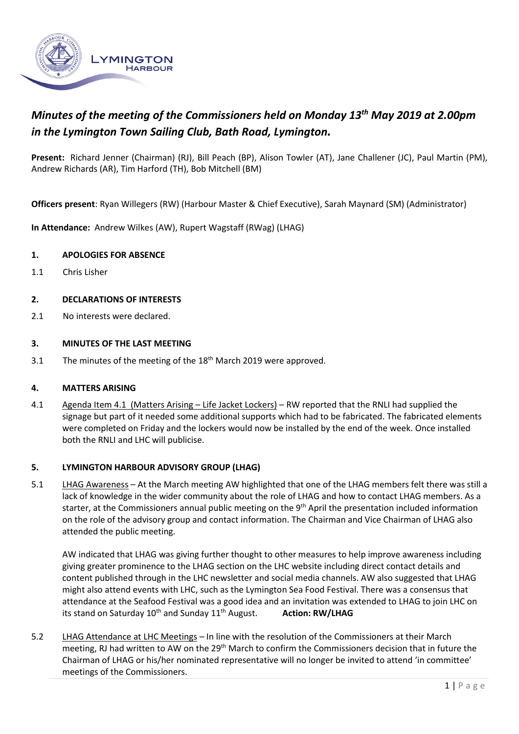

# *Minutes of the meeting of the Commissioners held on Monday 13 th May 2019 at 2.00pm in the Lymington Town Sailing Club, Bath Road, Lymington.*

**Present:** Richard Jenner (Chairman) (RJ), Bill Peach (BP), Alison Towler (AT), Jane Challener (JC), Paul Martin (PM), Andrew Richards (AR), Tim Harford (TH), Bob Mitchell (BM)

**Officers present**: Ryan Willegers (RW) (Harbour Master & Chief Executive), Sarah Maynard (SM) (Administrator)

**In Attendance:** Andrew Wilkes (AW), Rupert Wagstaff (RWag) (LHAG)

#### **1. APOLOGIES FOR ABSENCE**

1.1 Chris Lisher

#### **2. DECLARATIONS OF INTERESTS**

2.1 No interests were declared.

#### **3. MINUTES OF THE LAST MEETING**

3.1 The minutes of the meeting of the 18<sup>th</sup> March 2019 were approved.

#### **4. MATTERS ARISING**

4.1 Agenda Item 4.1 (Matters Arising – Life Jacket Lockers) – RW reported that the RNLI had supplied the signage but part of it needed some additional supports which had to be fabricated. The fabricated elements were completed on Friday and the lockers would now be installed by the end of the week. Once installed both the RNLI and LHC will publicise.

#### **5. LYMINGTON HARBOUR ADVISORY GROUP (LHAG)**

5.1 LHAG Awareness – At the March meeting AW highlighted that one of the LHAG members felt there was still a lack of knowledge in the wider community about the role of LHAG and how to contact LHAG members. As a starter, at the Commissioners annual public meeting on the 9<sup>th</sup> April the presentation included information on the role of the advisory group and contact information. The Chairman and Vice Chairman of LHAG also attended the public meeting.

AW indicated that LHAG was giving further thought to other measures to help improve awareness including giving greater prominence to the LHAG section on the LHC website including direct contact details and content published through in the LHC newsletter and social media channels. AW also suggested that LHAG might also attend events with LHC, such as the Lymington Sea Food Festival. There was a consensus that attendance at the Seafood Festival was a good idea and an invitation was extended to LHAG to join LHC on its stand on Saturday 10<sup>th</sup> and Sunday 11<sup>th</sup> August. **Action: RW/LHAG** 

5.2 LHAG Attendance at LHC Meetings – In line with the resolution of the Commissioners at their March meeting, RJ had written to AW on the  $29<sup>th</sup>$  March to confirm the Commissioners decision that in future the Chairman of LHAG or his/her nominated representative will no longer be invited to attend 'in committee' meetings of the Commissioners.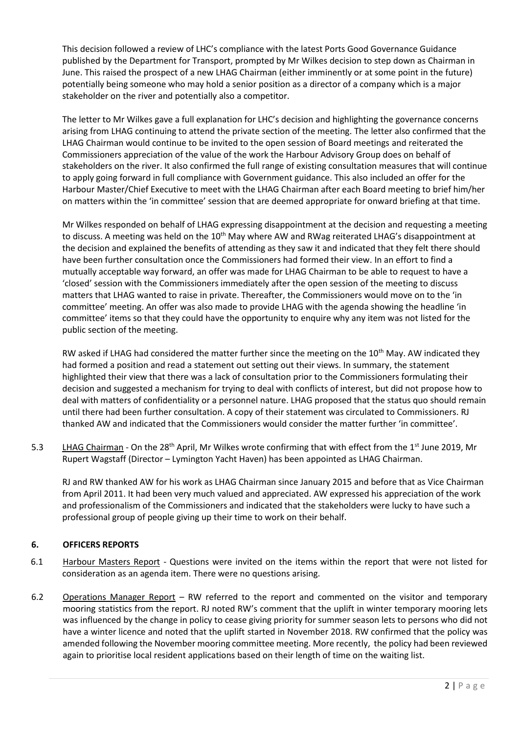This decision followed a review of LHC's compliance with the latest Ports Good Governance Guidance published by the Department for Transport, prompted by Mr Wilkes decision to step down as Chairman in June. This raised the prospect of a new LHAG Chairman (either imminently or at some point in the future) potentially being someone who may hold a senior position as a director of a company which is a major stakeholder on the river and potentially also a competitor.

The letter to Mr Wilkes gave a full explanation for LHC's decision and highlighting the governance concerns arising from LHAG continuing to attend the private section of the meeting. The letter also confirmed that the LHAG Chairman would continue to be invited to the open session of Board meetings and reiterated the Commissioners appreciation of the value of the work the Harbour Advisory Group does on behalf of stakeholders on the river. It also confirmed the full range of existing consultation measures that will continue to apply going forward in full compliance with Government guidance. This also included an offer for the Harbour Master/Chief Executive to meet with the LHAG Chairman after each Board meeting to brief him/her on matters within the 'in committee' session that are deemed appropriate for onward briefing at that time.

Mr Wilkes responded on behalf of LHAG expressing disappointment at the decision and requesting a meeting to discuss. A meeting was held on the 10<sup>th</sup> May where AW and RWag reiterated LHAG's disappointment at the decision and explained the benefits of attending as they saw it and indicated that they felt there should have been further consultation once the Commissioners had formed their view. In an effort to find a mutually acceptable way forward, an offer was made for LHAG Chairman to be able to request to have a 'closed' session with the Commissioners immediately after the open session of the meeting to discuss matters that LHAG wanted to raise in private. Thereafter, the Commissioners would move on to the 'in committee' meeting. An offer was also made to provide LHAG with the agenda showing the headline 'in committee' items so that they could have the opportunity to enquire why any item was not listed for the public section of the meeting.

RW asked if LHAG had considered the matter further since the meeting on the 10<sup>th</sup> May. AW indicated they had formed a position and read a statement out setting out their views. In summary, the statement highlighted their view that there was a lack of consultation prior to the Commissioners formulating their decision and suggested a mechanism for trying to deal with conflicts of interest, but did not propose how to deal with matters of confidentiality or a personnel nature. LHAG proposed that the status quo should remain until there had been further consultation. A copy of their statement was circulated to Commissioners. RJ thanked AW and indicated that the Commissioners would consider the matter further 'in committee'.

5.3 LHAG Chairman - On the 28<sup>th</sup> April, Mr Wilkes wrote confirming that with effect from the 1<sup>st</sup> June 2019, Mr Rupert Wagstaff (Director – Lymington Yacht Haven) has been appointed as LHAG Chairman.

RJ and RW thanked AW for his work as LHAG Chairman since January 2015 and before that as Vice Chairman from April 2011. It had been very much valued and appreciated. AW expressed his appreciation of the work and professionalism of the Commissioners and indicated that the stakeholders were lucky to have such a professional group of people giving up their time to work on their behalf.

### **6. OFFICERS REPORTS**

- 6.1 Harbour Masters Report Questions were invited on the items within the report that were not listed for consideration as an agenda item. There were no questions arising.
- 6.2 Operations Manager Report RW referred to the report and commented on the visitor and temporary mooring statistics from the report. RJ noted RW's comment that the uplift in winter temporary mooring lets was influenced by the change in policy to cease giving priority for summer season lets to persons who did not have a winter licence and noted that the uplift started in November 2018. RW confirmed that the policy was amended following the November mooring committee meeting. More recently, the policy had been reviewed again to prioritise local resident applications based on their length of time on the waiting list.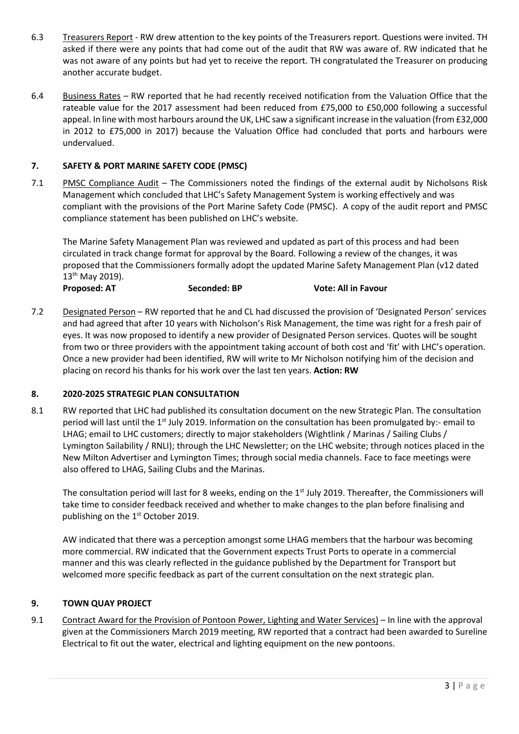- 6.3 Treasurers Report RW drew attention to the key points of the Treasurers report. Questions were invited. TH asked if there were any points that had come out of the audit that RW was aware of. RW indicated that he was not aware of any points but had yet to receive the report. TH congratulated the Treasurer on producing another accurate budget.
- 6.4 Business Rates RW reported that he had recently received notification from the Valuation Office that the rateable value for the 2017 assessment had been reduced from £75,000 to £50,000 following a successful appeal. In line with most harbours around the UK, LHC saw a significant increase in the valuation (from £32,000 in 2012 to £75,000 in 2017) because the Valuation Office had concluded that ports and harbours were undervalued.

### **7. SAFETY & PORT MARINE SAFETY CODE (PMSC)**

7.1 PMSC Compliance Audit – The Commissioners noted the findings of the external audit by Nicholsons Risk Management which concluded that LHC's Safety Management System is working effectively and was compliant with the provisions of the Port Marine Safety Code (PMSC). A copy of the audit report and PMSC compliance statement has been published on LHC's website.

The Marine Safety Management Plan was reviewed and updated as part of this process and had been circulated in track change format for approval by the Board. Following a review of the changes, it was proposed that the Commissioners formally adopt the updated Marine Safety Management Plan (v12 dated 13 th May 2019).

**Proposed: AT Seconded: BP Vote: All in Favour**

7.2 Designated Person – RW reported that he and CL had discussed the provision of 'Designated Person' services and had agreed that after 10 years with Nicholson's Risk Management, the time was right for a fresh pair of eyes. It was now proposed to identify a new provider of Designated Person services. Quotes will be sought from two or three providers with the appointment taking account of both cost and 'fit' with LHC's operation. Once a new provider had been identified, RW will write to Mr Nicholson notifying him of the decision and placing on record his thanks for his work over the last ten years. **Action: RW**

### **8. 2020-2025 STRATEGIC PLAN CONSULTATION**

8.1 RW reported that LHC had published its consultation document on the new Strategic Plan. The consultation period will last until the 1<sup>st</sup> July 2019. Information on the consultation has been promulgated by:- email to LHAG; email to LHC customers; directly to major stakeholders (Wightlink / Marinas / Sailing Clubs / Lymington Sailability / RNLI); through the LHC Newsletter; on the LHC website; through notices placed in the New Milton Advertiser and Lymington Times; through social media channels. Face to face meetings were also offered to LHAG, Sailing Clubs and the Marinas.

The consultation period will last for 8 weeks, ending on the 1<sup>st</sup> July 2019. Thereafter, the Commissioners will take time to consider feedback received and whether to make changes to the plan before finalising and publishing on the 1<sup>st</sup> October 2019.

AW indicated that there was a perception amongst some LHAG members that the harbour was becoming more commercial. RW indicated that the Government expects Trust Ports to operate in a commercial manner and this was clearly reflected in the guidance published by the Department for Transport but welcomed more specific feedback as part of the current consultation on the next strategic plan.

### **9. TOWN QUAY PROJECT**

9.1 Contract Award for the Provision of Pontoon Power, Lighting and Water Services) – In line with the approval given at the Commissioners March 2019 meeting, RW reported that a contract had been awarded to Sureline Electrical to fit out the water, electrical and lighting equipment on the new pontoons.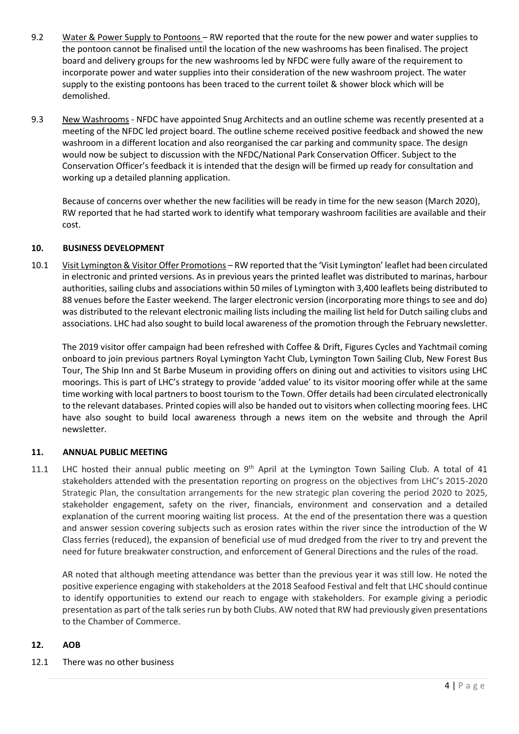- 9.2 Water & Power Supply to Pontoons RW reported that the route for the new power and water supplies to the pontoon cannot be finalised until the location of the new washrooms has been finalised. The project board and delivery groups for the new washrooms led by NFDC were fully aware of the requirement to incorporate power and water supplies into their consideration of the new washroom project. The water supply to the existing pontoons has been traced to the current toilet & shower block which will be demolished.
- 9.3 New Washrooms NFDC have appointed Snug Architects and an outline scheme was recently presented at a meeting of the NFDC led project board. The outline scheme received positive feedback and showed the new washroom in a different location and also reorganised the car parking and community space. The design would now be subject to discussion with the NFDC/National Park Conservation Officer. Subject to the Conservation Officer's feedback it is intended that the design will be firmed up ready for consultation and working up a detailed planning application.

Because of concerns over whether the new facilities will be ready in time for the new season (March 2020), RW reported that he had started work to identify what temporary washroom facilities are available and their cost.

### **10. BUSINESS DEVELOPMENT**

10.1 Visit Lymington & Visitor Offer Promotions – RW reported that the 'Visit Lymington' leaflet had been circulated in electronic and printed versions. As in previous years the printed leaflet was distributed to marinas, harbour authorities, sailing clubs and associations within 50 miles of Lymington with 3,400 leaflets being distributed to 88 venues before the Easter weekend. The larger electronic version (incorporating more things to see and do) was distributed to the relevant electronic mailing lists including the mailing list held for Dutch sailing clubs and associations. LHC had also sought to build local awareness of the promotion through the February newsletter.

The 2019 visitor offer campaign had been refreshed with Coffee & Drift, Figures Cycles and Yachtmail coming onboard to join previous partners Royal Lymington Yacht Club, Lymington Town Sailing Club, New Forest Bus Tour, The Ship Inn and St Barbe Museum in providing offers on dining out and activities to visitors using LHC moorings. This is part of LHC's strategy to provide 'added value' to its visitor mooring offer while at the same time working with local partners to boost tourism to the Town. Offer details had been circulated electronically to the relevant databases. Printed copies will also be handed out to visitors when collecting mooring fees. LHC have also sought to build local awareness through a news item on the website and through the April newsletter.

### **11. ANNUAL PUBLIC MEETING**

11.1 LHC hosted their annual public meeting on  $9<sup>th</sup>$  April at the Lymington Town Sailing Club. A total of 41 stakeholders attended with the presentation reporting on progress on the objectives from LHC's 2015-2020 Strategic Plan, the consultation arrangements for the new strategic plan covering the period 2020 to 2025, stakeholder engagement, safety on the river, financials, environment and conservation and a detailed explanation of the current mooring waiting list process. At the end of the presentation there was a question and answer session covering subjects such as erosion rates within the river since the introduction of the W Class ferries (reduced), the expansion of beneficial use of mud dredged from the river to try and prevent the need for future breakwater construction, and enforcement of General Directions and the rules of the road.

AR noted that although meeting attendance was better than the previous year it was still low. He noted the positive experience engaging with stakeholders at the 2018 Seafood Festival and felt that LHC should continue to identify opportunities to extend our reach to engage with stakeholders. For example giving a periodic presentation as part of the talk series run by both Clubs. AW noted that RW had previously given presentations to the Chamber of Commerce.

#### **12. AOB**

12.1 There was no other business